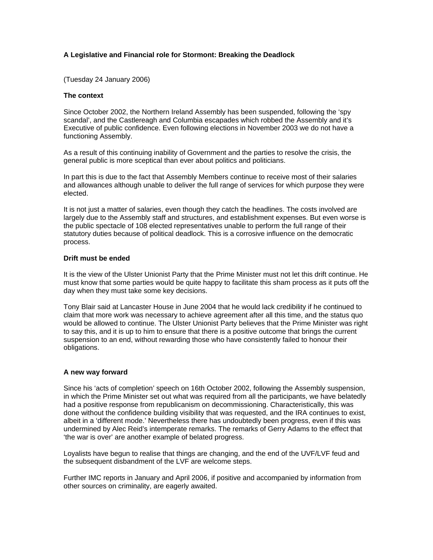# **A Legislative and Financial role for Stormont: Breaking the Deadlock**

(Tuesday 24 January 2006)

### **The context**

Since October 2002, the Northern Ireland Assembly has been suspended, following the 'spy scandal', and the Castlereagh and Columbia escapades which robbed the Assembly and it's Executive of public confidence. Even following elections in November 2003 we do not have a functioning Assembly.

As a result of this continuing inability of Government and the parties to resolve the crisis, the general public is more sceptical than ever about politics and politicians.

In part this is due to the fact that Assembly Members continue to receive most of their salaries and allowances although unable to deliver the full range of services for which purpose they were elected.

It is not just a matter of salaries, even though they catch the headlines. The costs involved are largely due to the Assembly staff and structures, and establishment expenses. But even worse is the public spectacle of 108 elected representatives unable to perform the full range of their statutory duties because of political deadlock. This is a corrosive influence on the democratic process.

# **Drift must be ended**

It is the view of the Ulster Unionist Party that the Prime Minister must not let this drift continue. He must know that some parties would be quite happy to facilitate this sham process as it puts off the day when they must take some key decisions.

Tony Blair said at Lancaster House in June 2004 that he would lack credibility if he continued to claim that more work was necessary to achieve agreement after all this time, and the status quo would be allowed to continue. The Ulster Unionist Party believes that the Prime Minister was right to say this, and it is up to him to ensure that there is a positive outcome that brings the current suspension to an end, without rewarding those who have consistently failed to honour their obligations.

#### **A new way forward**

Since his 'acts of completion' speech on 16th October 2002, following the Assembly suspension, in which the Prime Minister set out what was required from all the participants, we have belatedly had a positive response from republicanism on decommissioning. Characteristically, this was done without the confidence building visibility that was requested, and the IRA continues to exist, albeit in a 'different mode.' Nevertheless there has undoubtedly been progress, even if this was undermined by Alec Reid's intemperate remarks. The remarks of Gerry Adams to the effect that 'the war is over' are another example of belated progress.

Loyalists have begun to realise that things are changing, and the end of the UVF/LVF feud and the subsequent disbandment of the LVF are welcome steps.

Further IMC reports in January and April 2006, if positive and accompanied by information from other sources on criminality, are eagerly awaited.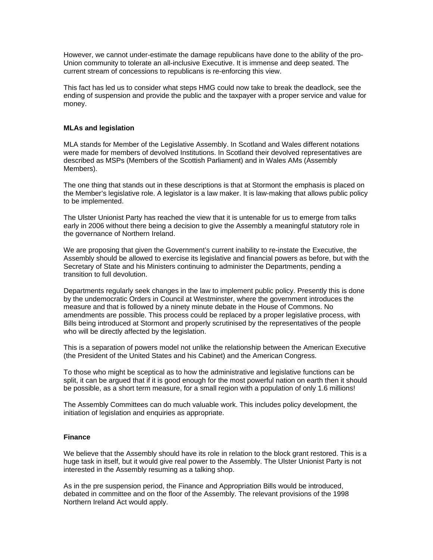However, we cannot under-estimate the damage republicans have done to the ability of the pro-Union community to tolerate an all-inclusive Executive. It is immense and deep seated. The current stream of concessions to republicans is re-enforcing this view.

This fact has led us to consider what steps HMG could now take to break the deadlock, see the ending of suspension and provide the public and the taxpayer with a proper service and value for money.

### **MLAs and legislation**

MLA stands for Member of the Legislative Assembly. In Scotland and Wales different notations were made for members of devolved Institutions. In Scotland their devolved representatives are described as MSPs (Members of the Scottish Parliament) and in Wales AMs (Assembly Members).

The one thing that stands out in these descriptions is that at Stormont the emphasis is placed on the Member's legislative role. A legislator is a law maker. It is law-making that allows public policy to be implemented.

The Ulster Unionist Party has reached the view that it is untenable for us to emerge from talks early in 2006 without there being a decision to give the Assembly a meaningful statutory role in the governance of Northern Ireland.

We are proposing that given the Government's current inability to re-instate the Executive, the Assembly should be allowed to exercise its legislative and financial powers as before, but with the Secretary of State and his Ministers continuing to administer the Departments, pending a transition to full devolution.

Departments regularly seek changes in the law to implement public policy. Presently this is done by the undemocratic Orders in Council at Westminster, where the government introduces the measure and that is followed by a ninety minute debate in the House of Commons. No amendments are possible. This process could be replaced by a proper legislative process, with Bills being introduced at Stormont and properly scrutinised by the representatives of the people who will be directly affected by the legislation.

This is a separation of powers model not unlike the relationship between the American Executive (the President of the United States and his Cabinet) and the American Congress.

To those who might be sceptical as to how the administrative and legislative functions can be split, it can be argued that if it is good enough for the most powerful nation on earth then it should be possible, as a short term measure, for a small region with a population of only 1.6 millions!

The Assembly Committees can do much valuable work. This includes policy development, the initiation of legislation and enquiries as appropriate.

#### **Finance**

We believe that the Assembly should have its role in relation to the block grant restored. This is a huge task in itself, but it would give real power to the Assembly. The Ulster Unionist Party is not interested in the Assembly resuming as a talking shop.

As in the pre suspension period, the Finance and Appropriation Bills would be introduced, debated in committee and on the floor of the Assembly. The relevant provisions of the 1998 Northern Ireland Act would apply.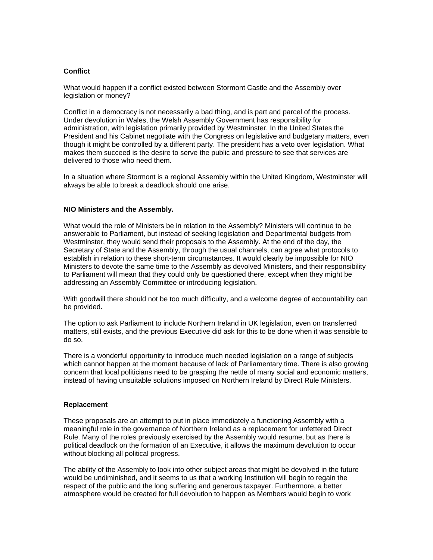# **Conflict**

What would happen if a conflict existed between Stormont Castle and the Assembly over legislation or money?

Conflict in a democracy is not necessarily a bad thing, and is part and parcel of the process. Under devolution in Wales, the Welsh Assembly Government has responsibility for administration, with legislation primarily provided by Westminster. In the United States the President and his Cabinet negotiate with the Congress on legislative and budgetary matters, even though it might be controlled by a different party. The president has a veto over legislation. What makes them succeed is the desire to serve the public and pressure to see that services are delivered to those who need them.

In a situation where Stormont is a regional Assembly within the United Kingdom, Westminster will always be able to break a deadlock should one arise.

# **NIO Ministers and the Assembly.**

What would the role of Ministers be in relation to the Assembly? Ministers will continue to be answerable to Parliament, but instead of seeking legislation and Departmental budgets from Westminster, they would send their proposals to the Assembly. At the end of the day, the Secretary of State and the Assembly, through the usual channels, can agree what protocols to establish in relation to these short-term circumstances. It would clearly be impossible for NIO Ministers to devote the same time to the Assembly as devolved Ministers, and their responsibility to Parliament will mean that they could only be questioned there, except when they might be addressing an Assembly Committee or introducing legislation.

With goodwill there should not be too much difficulty, and a welcome degree of accountability can be provided.

The option to ask Parliament to include Northern Ireland in UK legislation, even on transferred matters, still exists, and the previous Executive did ask for this to be done when it was sensible to do so.

There is a wonderful opportunity to introduce much needed legislation on a range of subjects which cannot happen at the moment because of lack of Parliamentary time. There is also growing concern that local politicians need to be grasping the nettle of many social and economic matters, instead of having unsuitable solutions imposed on Northern Ireland by Direct Rule Ministers.

# **Replacement**

These proposals are an attempt to put in place immediately a functioning Assembly with a meaningful role in the governance of Northern Ireland as a replacement for unfettered Direct Rule. Many of the roles previously exercised by the Assembly would resume, but as there is political deadlock on the formation of an Executive, it allows the maximum devolution to occur without blocking all political progress.

The ability of the Assembly to look into other subject areas that might be devolved in the future would be undiminished, and it seems to us that a working Institution will begin to regain the respect of the public and the long suffering and generous taxpayer. Furthermore, a better atmosphere would be created for full devolution to happen as Members would begin to work